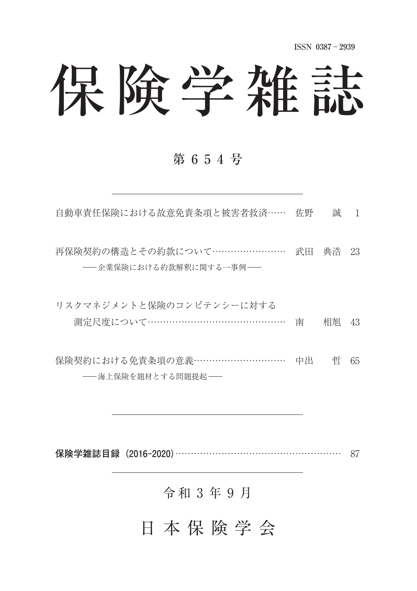**ISSN 0387**-**2939**

# 保険学雑誌

#### 第 6 5 4 号

自動車責任保険における故意免責条項と被害者救済 …… 佐野 誠 1

再保険契約の構造とその約款について…………………… 武田 典浩 23 - 企業保険における約款解釈に関する一事例––

| リスクマネジメントと保険のコンピテンシーに対する        |  |  |
|---------------------------------|--|--|
| 測定尺度について……………………………………… 南 相旭 43 |  |  |

保険契約における免責条項の意義 …………………………… 中出 哲 65 ––海上保険を題材とする問題提起––

**保険学雑誌目録(2016-2020)** 87

#### 令和 3 年 9 月

### 日 本 保 険 学 会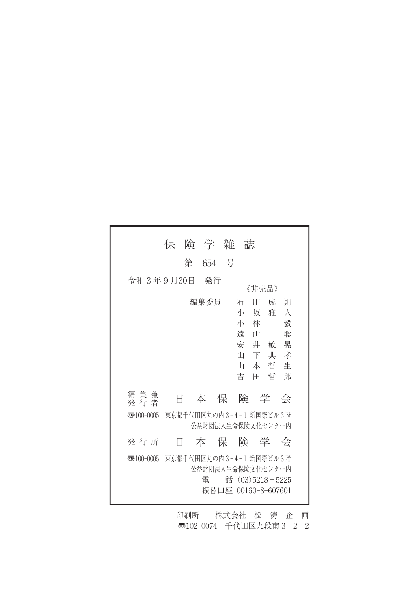|                        | 保                                            | 険 学 雑 |       | 誌                                                                                             |                                                                     |  |
|------------------------|----------------------------------------------|-------|-------|-----------------------------------------------------------------------------------------------|---------------------------------------------------------------------|--|
|                        | 第                                            |       | 654 号 |                                                                                               |                                                                     |  |
| 令和3年9月30日              |                                              | - 発行  |       | 《非壳品》                                                                                         |                                                                     |  |
|                        |                                              | 編集委員  |       | 石<br>Ħ<br>小<br>坂<br>小<br>林<br>遠<br>- ப<br>安<br>井<br>Ш<br>下<br>Ш<br>本<br>吉<br>Ħ                | 成<br>一則<br>雅<br>人<br>毅<br>聡<br>晃<br>敏<br>孝<br>典<br>哲<br>牛<br>哲<br>郎 |  |
| 集兼<br>編<br>発 行 者       | Ħ                                            |       |       | 本保険学                                                                                          | 会                                                                   |  |
| $\overline{3}100-0005$ | 東京都千代田区丸の内3-4-1 新国際ビル3階<br>公益財団法人生命保険文化センター内 |       |       |                                                                                               |                                                                     |  |
| 発行所                    | Ħ                                            |       |       | 本 保 険 学 会                                                                                     |                                                                     |  |
| $\overline{3}100-0005$ |                                              | 雷     |       | 東京都千代田区丸の内 3-4-1 新国際ビル 3 階<br>公益財団法人生命保険文化センター内<br>話 $(03)5218 - 5225$<br>振替口座 00160-8-607601 |                                                                     |  |

印刷所 株式会社 松 涛 企 画 〠102-0074 千代田区九段南 3 - 2 - 2